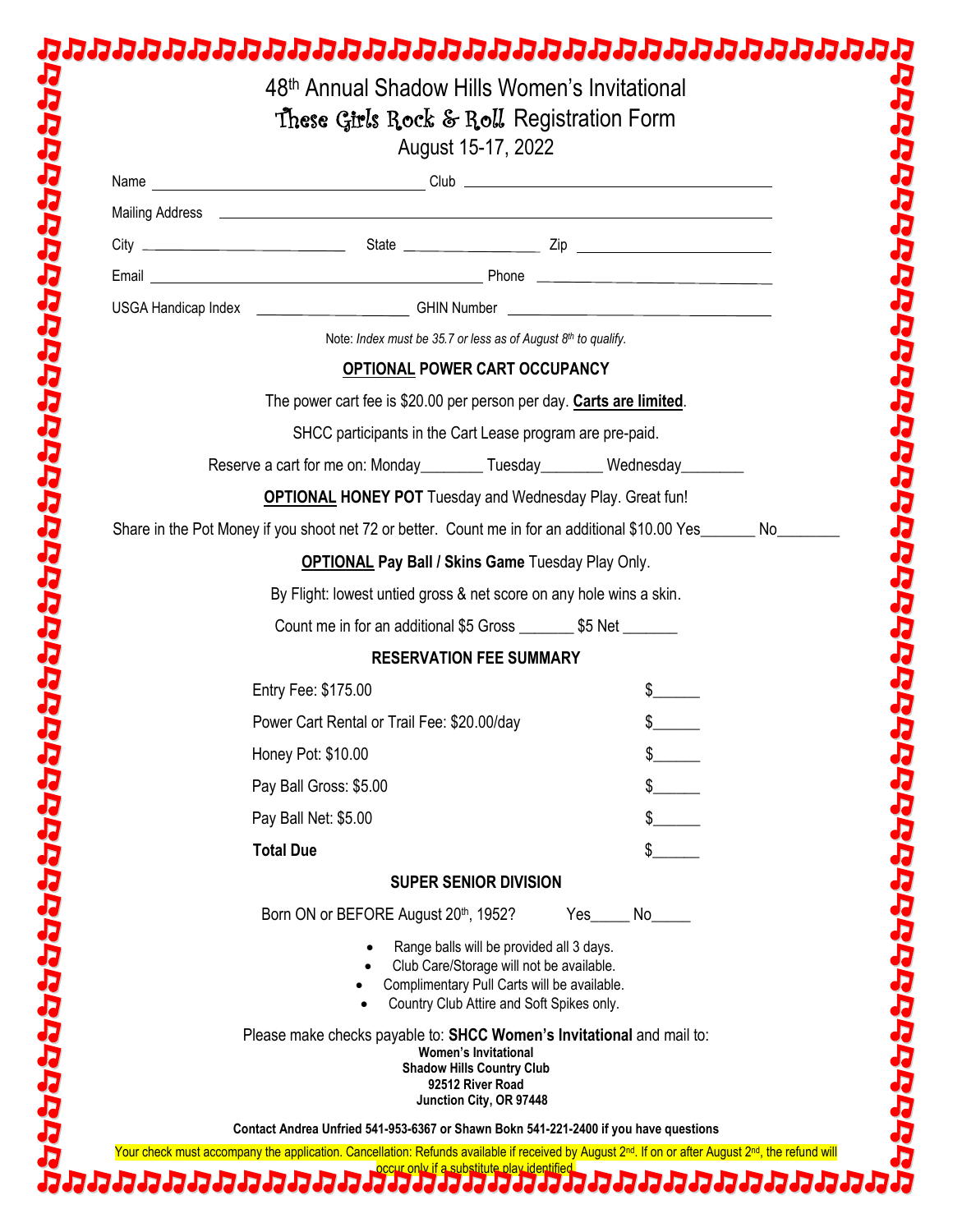| 48th Annual Shadow Hills Women's Invitational                                                                |                                                                                                                                      |     |  |
|--------------------------------------------------------------------------------------------------------------|--------------------------------------------------------------------------------------------------------------------------------------|-----|--|
| These Girls Rock & Roll Registration Form                                                                    | August 15-17, 2022                                                                                                                   |     |  |
|                                                                                                              |                                                                                                                                      |     |  |
|                                                                                                              |                                                                                                                                      |     |  |
|                                                                                                              |                                                                                                                                      |     |  |
|                                                                                                              |                                                                                                                                      |     |  |
|                                                                                                              |                                                                                                                                      |     |  |
| Note: Index must be 35.7 or less as of August 8th to qualify.                                                |                                                                                                                                      |     |  |
|                                                                                                              | OPTIONAL POWER CART OCCUPANCY                                                                                                        |     |  |
| The power cart fee is \$20.00 per person per day. Carts are limited.                                         |                                                                                                                                      |     |  |
| SHCC participants in the Cart Lease program are pre-paid.                                                    |                                                                                                                                      |     |  |
| Reserve a cart for me on: Monday___________ Tuesday__________ Wednesday_________                             |                                                                                                                                      |     |  |
| <b>OPTIONAL HONEY POT</b> Tuesday and Wednesday Play. Great fun!                                             |                                                                                                                                      |     |  |
| Share in the Pot Money if you shoot net 72 or better. Count me in for an additional \$10.00 Yes______ No____ |                                                                                                                                      |     |  |
| <b>OPTIONAL Pay Ball / Skins Game Tuesday Play Only.</b>                                                     |                                                                                                                                      |     |  |
| By Flight: lowest untied gross & net score on any hole wins a skin.                                          |                                                                                                                                      |     |  |
| Count me in for an additional \$5 Gross ________ \$5 Net _______                                             |                                                                                                                                      |     |  |
|                                                                                                              | <b>RESERVATION FEE SUMMARY</b>                                                                                                       |     |  |
| Entry Fee: \$175.00                                                                                          |                                                                                                                                      |     |  |
| Power Cart Rental or Trail Fee: \$20.00/day                                                                  |                                                                                                                                      |     |  |
| Honey Pot: \$10.00                                                                                           |                                                                                                                                      |     |  |
| Pay Ball Gross: \$5.00                                                                                       |                                                                                                                                      |     |  |
| Pay Ball Net: \$5.00                                                                                         |                                                                                                                                      |     |  |
| <b>Total Due</b>                                                                                             |                                                                                                                                      | \$  |  |
|                                                                                                              | <b>SUPER SENIOR DIVISION</b>                                                                                                         |     |  |
| Born ON or BEFORE August 20th, 1952?                                                                         | Yes                                                                                                                                  | No. |  |
|                                                                                                              | Range balls will be provided all 3 days.                                                                                             |     |  |
|                                                                                                              | Club Care/Storage will not be available.<br>Complimentary Pull Carts will be available.<br>Country Club Attire and Soft Spikes only. |     |  |
| Please make checks payable to: SHCC Women's Invitational and mail to:                                        | <b>Women's Invitational</b><br><b>Shadow Hills Country Club</b><br>92512 River Road<br>Junction City, OR 97448                       |     |  |

occur only if a substitute play identified.